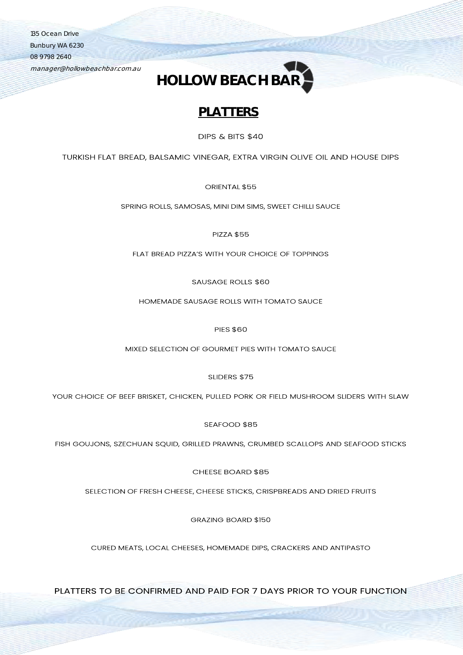135 Ocean Drive Bunbury WA 6230 08 9798 2640

manager@hollowbeachbar.com.au



## **PLATTERS**

DIPS & BITS \$40

TURKISH FLAT BREAD, BALSAMIC VINEGAR, EXTRA VIRGIN OLIVE OIL AND HOUSE DIPS

ORIENTAL \$55

SPRING ROLLS, SAMOSAS, MINI DIM SIMS, SWEET CHILLI SAUCE

**PIZZA \$55** 

FLAT BREAD PIZZA'S WITH YOUR CHOICE OF TOPPINGS

**SAUSAGE ROLLS \$60** 

HOMEMADE SAUSAGE ROLLS WITH TOMATO SAUCE

**PIES \$60** 

MIXED SELECTION OF GOURMET PIES WITH TOMATO SAUCE

SLIDERS \$75

YOUR CHOICE OF BEEF BRISKET, CHICKEN, PULLED PORK OR FIELD MUSHROOM SLIDERS WITH SLAW

SEAFOOD \$85

FISH GOUJONS, SZECHUAN SQUID, GRILLED PRAWNS, CRUMBED SCALLOPS AND SEAFOOD STICKS

CHEESE BOARD \$85

SELECTION OF FRESH CHEESE, CHEESE STICKS, CRISPBREADS AND DRIED FRUITS

**GRAZING BOARD \$150** 

CURED MEATS, LOCAL CHEESES, HOMEMADE DIPS, CRACKERS AND ANTIPASTO

PLATTERS TO BE CONFIRMED AND PAID FOR 7 DAYS PRIOR TO YOUR FUNCTION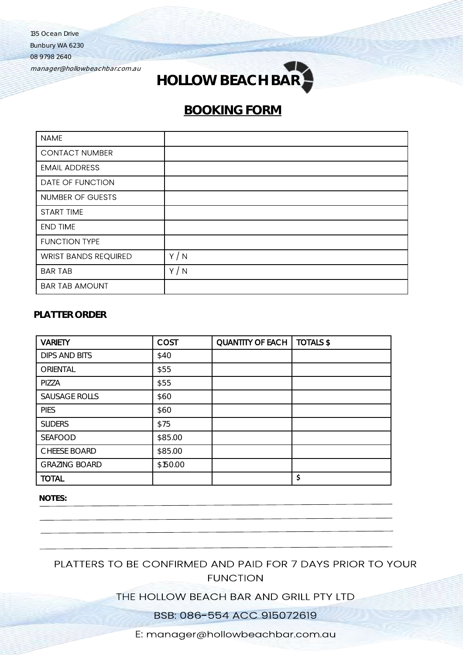135 Ocean Drive

Bunbury WA 6230

08 9798 2640

manager@hollowbeachbar.com.au



## **BOOKING FORM**

| <b>NAME</b>                 |     |
|-----------------------------|-----|
| <b>CONTACT NUMBER</b>       |     |
| <b>EMAIL ADDRESS</b>        |     |
| DATE OF FUNCTION            |     |
| NUMBER OF GUESTS            |     |
| START TIME                  |     |
| <b>END TIME</b>             |     |
| <b>FUNCTION TYPE</b>        |     |
| <b>WRIST BANDS REQUIRED</b> | Y/N |
| <b>BAR TAB</b>              | Y/N |
| <b>BAR TAB AMOUNT</b>       |     |

### **PLATTER ORDER**

| <b>VARIETY</b>       | <b>COST</b> | <b>QUANTITY OF EACH</b> | <b>TOTALS \$</b> |
|----------------------|-------------|-------------------------|------------------|
| <b>DIPS AND BITS</b> | \$40        |                         |                  |
| ORIENTAL             | \$55        |                         |                  |
| PIZZA                | \$55        |                         |                  |
| <b>SAUSAGE ROLLS</b> | \$60        |                         |                  |
| <b>PIES</b>          | \$60        |                         |                  |
| <b>SLIDERS</b>       | \$75        |                         |                  |
| <b>SEAFOOD</b>       | \$85.00     |                         |                  |
| <b>CHEESE BOARD</b>  | \$85.00     |                         |                  |
| <b>GRAZING BOARD</b> | \$150.00    |                         |                  |
| <b>TOTAL</b>         |             |                         | \$               |

**NOTES:**

PLATTERS TO BE CONFIRMED AND PAID FOR 7 DAYS PRIOR TO YOUR **FUNCTION** 

## THE HOLLOW BEACH BAR AND GRILL PTY LTD

BSB: 086-554 ACC 915072619

E: manager@hollowbeachbar.com.au